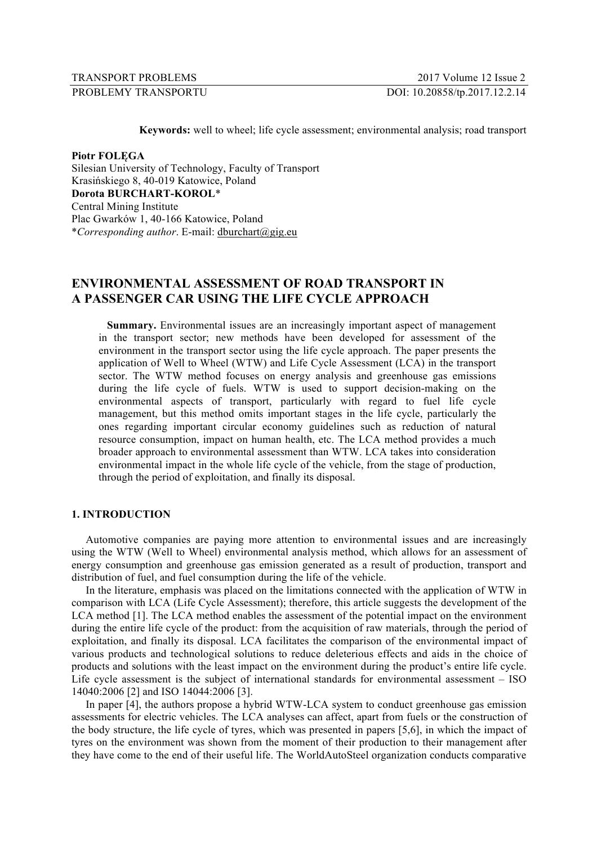| TRANSPORT PROBLEMS |  |
|--------------------|--|
| $\overline{D}$     |  |

**Keywords:** well to wheel; life cycle assessment; environmental analysis; road transport

**Piotr FOLĘGA**

Silesian University of Technology, Faculty of Transport Krasińskiego 8, 40-019 Katowice, Poland **Dorota BURCHART-KOROL**\* Central Mining Institute Plac Gwarków 1, 40-166 Katowice, Poland \**Corresponding author*. E-mail: dburchart@gig.eu

# **ENVIRONMENTAL ASSESSMENT OF ROAD TRANSPORT IN A PASSENGER CAR USING THE LIFE CYCLE APPROACH**

**Summary.** Environmental issues are an increasingly important aspect of management in the transport sector; new methods have been developed for assessment of the environment in the transport sector using the life cycle approach. The paper presents the application of Well to Wheel (WTW) and Life Cycle Assessment (LCA) in the transport sector. The WTW method focuses on energy analysis and greenhouse gas emissions during the life cycle of fuels. WTW is used to support decision-making on the environmental aspects of transport, particularly with regard to fuel life cycle management, but this method omits important stages in the life cycle, particularly the ones regarding important circular economy guidelines such as reduction of natural resource consumption, impact on human health, etc. The LCA method provides a much broader approach to environmental assessment than WTW. LCA takes into consideration environmental impact in the whole life cycle of the vehicle, from the stage of production, through the period of exploitation, and finally its disposal.

## **1. INTRODUCTION**

Automotive companies are paying more attention to environmental issues and are increasingly using the WTW (Well to Wheel) environmental analysis method, which allows for an assessment of energy consumption and greenhouse gas emission generated as a result of production, transport and distribution of fuel, and fuel consumption during the life of the vehicle.

In the literature, emphasis was placed on the limitations connected with the application of WTW in comparison with LCA (Life Cycle Assessment); therefore, this article suggests the development of the LCA method [1]. The LCA method enables the assessment of the potential impact on the environment during the entire life cycle of the product: from the acquisition of raw materials, through the period of exploitation, and finally its disposal. LCA facilitates the comparison of the environmental impact of various products and technological solutions to reduce deleterious effects and aids in the choice of products and solutions with the least impact on the environment during the product's entire life cycle. Life cycle assessment is the subject of international standards for environmental assessment – ISO 14040:2006 [2] and ISO 14044:2006 [3].

In paper [4], the authors propose a hybrid WTW-LCA system to conduct greenhouse gas emission assessments for electric vehicles. The LCA analyses can affect, apart from fuels or the construction of the body structure, the life cycle of tyres, which was presented in papers [5,6], in which the impact of tyres on the environment was shown from the moment of their production to their management after they have come to the end of their useful life. The WorldAutoSteel organization conducts comparative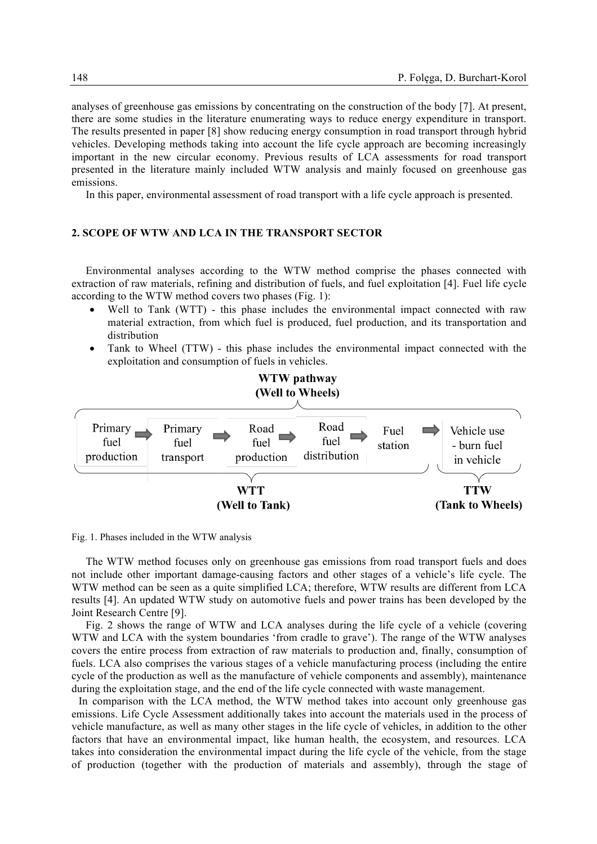analyses of greenhouse gas emissions by concentrating on the construction of the body [7]. At present, there are some studies in the literature enumerating ways to reduce energy expenditure in transport. The results presented in paper [8] show reducing energy consumption in road transport through hybrid vehicles. Developing methods taking into account the life cycle approach are becoming increasingly important in the new circular economy. Previous results of LCA assessments for road transport presented in the literature mainly included WTW analysis and mainly focused on greenhouse gas emissions.

In this paper, environmental assessment of road transport with a life cycle approach is presented.

#### **2. SCOPE OF WTW AND LCA IN THE TRANSPORT SECTOR**

Environmental analyses according to the WTW method comprise the phases connected with extraction of raw materials, refining and distribution of fuels, and fuel exploitation [4]. Fuel life cycle according to the WTW method covers two phases (Fig. 1):

- Well to Tank (WTT) this phase includes the environmental impact connected with raw material extraction, from which fuel is produced, fuel production, and its transportation and distribution
- Tank to Wheel (TTW) this phase includes the environmental impact connected with the exploitation and consumption of fuels in vehicles.



Fig. 1. Phases included in the WTW analysis

The WTW method focuses only on greenhouse gas emissions from road transport fuels and does not include other important damage-causing factors and other stages of a vehicle's life cycle. The WTW method can be seen as a quite simplified LCA; therefore, WTW results are different from LCA results [4]. An updated WTW study on automotive fuels and power trains has been developed by the Joint Research Centre [9].

Fig. 2 shows the range of WTW and LCA analyses during the life cycle of a vehicle (covering WTW and LCA with the system boundaries 'from cradle to grave'). The range of the WTW analyses covers the entire process from extraction of raw materials to production and, finally, consumption of fuels. LCA also comprises the various stages of a vehicle manufacturing process (including the entire cycle of the production as well as the manufacture of vehicle components and assembly), maintenance during the exploitation stage, and the end of the life cycle connected with waste management.

In comparison with the LCA method, the WTW method takes into account only greenhouse gas emissions. Life Cycle Assessment additionally takes into account the materials used in the process of vehicle manufacture, as well as many other stages in the life cycle of vehicles, in addition to the other factors that have an environmental impact, like human health, the ecosystem, and resources. LCA takes into consideration the environmental impact during the life cycle of the vehicle, from the stage of production (together with the production of materials and assembly), through the stage of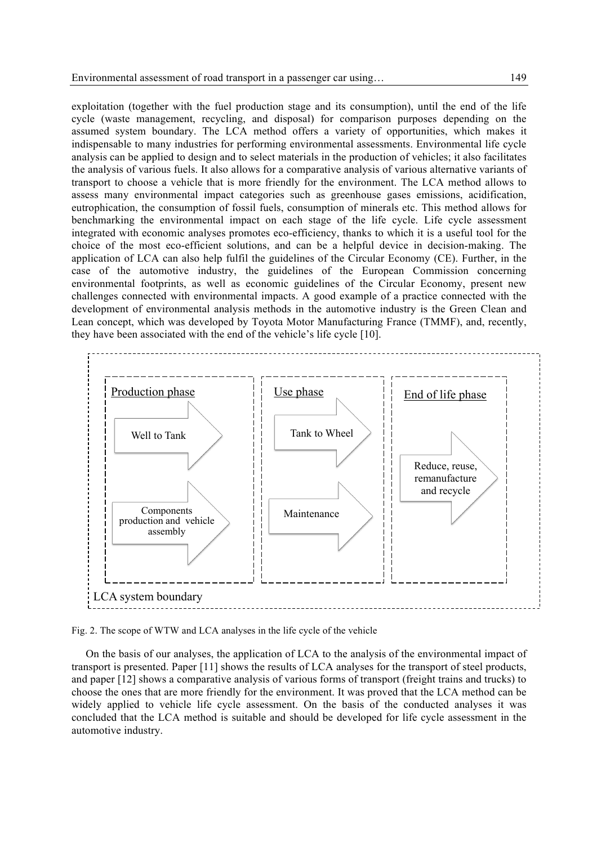exploitation (together with the fuel production stage and its consumption), until the end of the life cycle (waste management, recycling, and disposal) for comparison purposes depending on the assumed system boundary. The LCA method offers a variety of opportunities, which makes it indispensable to many industries for performing environmental assessments. Environmental life cycle analysis can be applied to design and to select materials in the production of vehicles; it also facilitates the analysis of various fuels. It also allows for a comparative analysis of various alternative variants of transport to choose a vehicle that is more friendly for the environment. The LCA method allows to assess many environmental impact categories such as greenhouse gases emissions, acidification, eutrophication, the consumption of fossil fuels, consumption of minerals etc. This method allows for benchmarking the environmental impact on each stage of the life cycle. Life cycle assessment integrated with economic analyses promotes eco-efficiency, thanks to which it is a useful tool for the choice of the most eco-efficient solutions, and can be a helpful device in decision-making. The application of LCA can also help fulfil the guidelines of the Circular Economy (CE). Further, in the case of the automotive industry, the guidelines of the European Commission concerning environmental footprints, as well as economic guidelines of the Circular Economy, present new challenges connected with environmental impacts. A good example of a practice connected with the development of environmental analysis methods in the automotive industry is the Green Clean and Lean concept, which was developed by Toyota Motor Manufacturing France (TMMF), and, recently, they have been associated with the end of the vehicle's life cycle [10].



Fig. 2. The scope of WTW and LCA analyses in the life cycle of the vehicle

On the basis of our analyses, the application of LCA to the analysis of the environmental impact of transport is presented. Paper [11] shows the results of LCA analyses for the transport of steel products, and paper [12] shows a comparative analysis of various forms of transport (freight trains and trucks) to choose the ones that are more friendly for the environment. It was proved that the LCA method can be widely applied to vehicle life cycle assessment. On the basis of the conducted analyses it was concluded that the LCA method is suitable and should be developed for life cycle assessment in the automotive industry.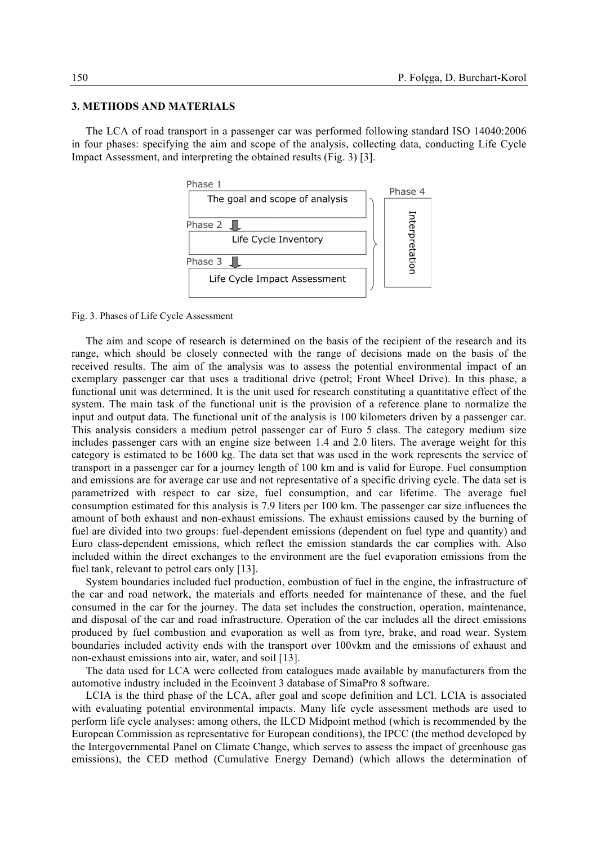## **3. METHODS AND MATERIALS**

The LCA of road transport in a passenger car was performed following standard ISO 14040:2006 in four phases: specifying the aim and scope of the analysis, collecting data, conducting Life Cycle Impact Assessment, and interpreting the obtained results (Fig. 3) [3].



#### Fig. 3. Phases of Life Cycle Assessment

The aim and scope of research is determined on the basis of the recipient of the research and its range, which should be closely connected with the range of decisions made on the basis of the received results. The aim of the analysis was to assess the potential environmental impact of an exemplary passenger car that uses a traditional drive (petrol; Front Wheel Drive). In this phase, a functional unit was determined. It is the unit used for research constituting a quantitative effect of the system. The main task of the functional unit is the provision of a reference plane to normalize the input and output data. The functional unit of the analysis is 100 kilometers driven by a passenger car. This analysis considers a medium petrol passenger car of Euro 5 class. The category medium size includes passenger cars with an engine size between 1.4 and 2.0 liters. The average weight for this category is estimated to be 1600 kg. The data set that was used in the work represents the service of transport in a passenger car for a journey length of 100 km and is valid for Europe. Fuel consumption and emissions are for average car use and not representative of a specific driving cycle. The data set is parametrized with respect to car size, fuel consumption, and car lifetime. The average fuel consumption estimated for this analysis is 7.9 liters per 100 km. The passenger car size influences the amount of both exhaust and non-exhaust emissions. The exhaust emissions caused by the burning of fuel are divided into two groups: fuel-dependent emissions (dependent on fuel type and quantity) and Euro class-dependent emissions, which reflect the emission standards the car complies with. Also included within the direct exchanges to the environment are the fuel evaporation emissions from the fuel tank, relevant to petrol cars only [13].

System boundaries included fuel production, combustion of fuel in the engine, the infrastructure of the car and road network, the materials and efforts needed for maintenance of these, and the fuel consumed in the car for the journey. The data set includes the construction, operation, maintenance, and disposal of the car and road infrastructure. Operation of the car includes all the direct emissions produced by fuel combustion and evaporation as well as from tyre, brake, and road wear. System boundaries included activity ends with the transport over 100vkm and the emissions of exhaust and non-exhaust emissions into air, water, and soil [13].

The data used for LCA were collected from catalogues made available by manufacturers from the automotive industry included in the Ecoinvent 3 database of SimaPro 8 software.

LCIA is the third phase of the LCA, after goal and scope definition and LCI. LCIA is associated with evaluating potential environmental impacts. Many life cycle assessment methods are used to perform life cycle analyses: among others, the ILCD Midpoint method (which is recommended by the European Commission as representative for European conditions), the IPCC (the method developed by the Intergovernmental Panel on Climate Change, which serves to assess the impact of greenhouse gas emissions), the CED method (Cumulative Energy Demand) (which allows the determination of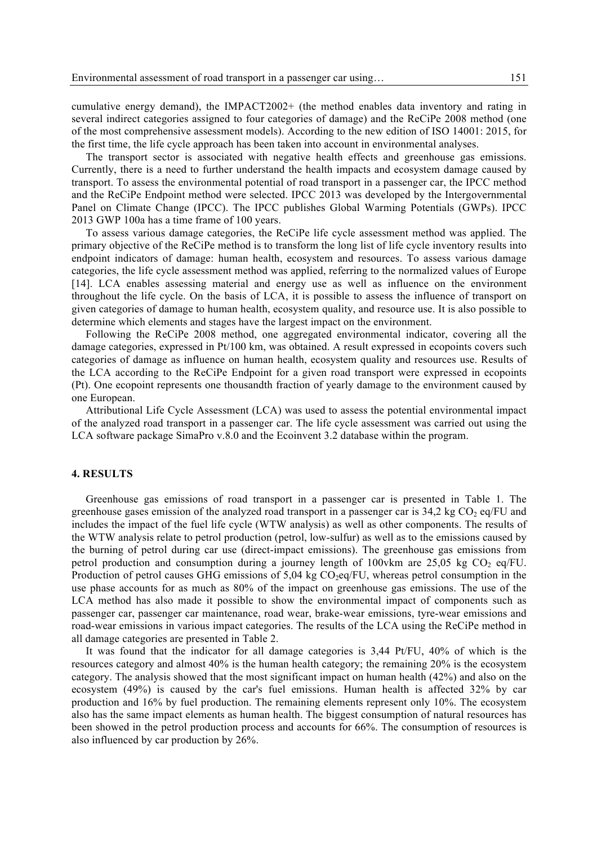cumulative energy demand), the IMPACT2002+ (the method enables data inventory and rating in several indirect categories assigned to four categories of damage) and the ReCiPe 2008 method (one of the most comprehensive assessment models). According to the new edition of ISO 14001: 2015, for the first time, the life cycle approach has been taken into account in environmental analyses.

The transport sector is associated with negative health effects and greenhouse gas emissions. Currently, there is a need to further understand the health impacts and ecosystem damage caused by transport. To assess the environmental potential of road transport in a passenger car, the IPCC method and the ReCiPe Endpoint method were selected. IPCC 2013 was developed by the Intergovernmental Panel on Climate Change (IPCC). The IPCC publishes Global Warming Potentials (GWPs). IPCC 2013 GWP 100a has a time frame of 100 years.

To assess various damage categories, the ReCiPe life cycle assessment method was applied. The primary objective of the ReCiPe method is to transform the long list of life cycle inventory results into endpoint indicators of damage: human health, ecosystem and resources. To assess various damage categories, the life cycle assessment method was applied, referring to the normalized values of Europe [14]. LCA enables assessing material and energy use as well as influence on the environment throughout the life cycle. On the basis of LCA, it is possible to assess the influence of transport on given categories of damage to human health, ecosystem quality, and resource use. It is also possible to determine which elements and stages have the largest impact on the environment.

Following the ReCiPe 2008 method, one aggregated environmental indicator, covering all the damage categories, expressed in Pt/100 km, was obtained. A result expressed in ecopoints covers such categories of damage as influence on human health, ecosystem quality and resources use. Results of the LCA according to the ReCiPe Endpoint for a given road transport were expressed in ecopoints (Pt). One ecopoint represents one thousandth fraction of yearly damage to the environment caused by one European.

Attributional Life Cycle Assessment (LCA) was used to assess the potential environmental impact of the analyzed road transport in a passenger car. The life cycle assessment was carried out using the LCA software package SimaPro v.8.0 and the Ecoinvent 3.2 database within the program.

## **4. RESULTS**

Greenhouse gas emissions of road transport in a passenger car is presented in Table 1. The greenhouse gases emission of the analyzed road transport in a passenger car is  $34.2 \text{ kg CO}_2$  eq/FU and includes the impact of the fuel life cycle (WTW analysis) as well as other components. The results of the WTW analysis relate to petrol production (petrol, low-sulfur) as well as to the emissions caused by the burning of petrol during car use (direct-impact emissions). The greenhouse gas emissions from petrol production and consumption during a journey length of 100vkm are 25,05 kg  $CO<sub>2</sub>$  eq/FU. Production of petrol causes GHG emissions of  $5,04$  kg  $CO<sub>2</sub>eq/FU$ , whereas petrol consumption in the use phase accounts for as much as 80% of the impact on greenhouse gas emissions. The use of the LCA method has also made it possible to show the environmental impact of components such as passenger car, passenger car maintenance, road wear, brake-wear emissions, tyre-wear emissions and road-wear emissions in various impact categories. The results of the LCA using the ReCiPe method in all damage categories are presented in Table 2.

It was found that the indicator for all damage categories is 3,44 Pt/FU, 40% of which is the resources category and almost 40% is the human health category; the remaining 20% is the ecosystem category. The analysis showed that the most significant impact on human health (42%) and also on the ecosystem (49%) is caused by the car's fuel emissions. Human health is affected 32% by car production and 16% by fuel production. The remaining elements represent only 10%. The ecosystem also has the same impact elements as human health. The biggest consumption of natural resources has been showed in the petrol production process and accounts for 66%. The consumption of resources is also influenced by car production by 26%.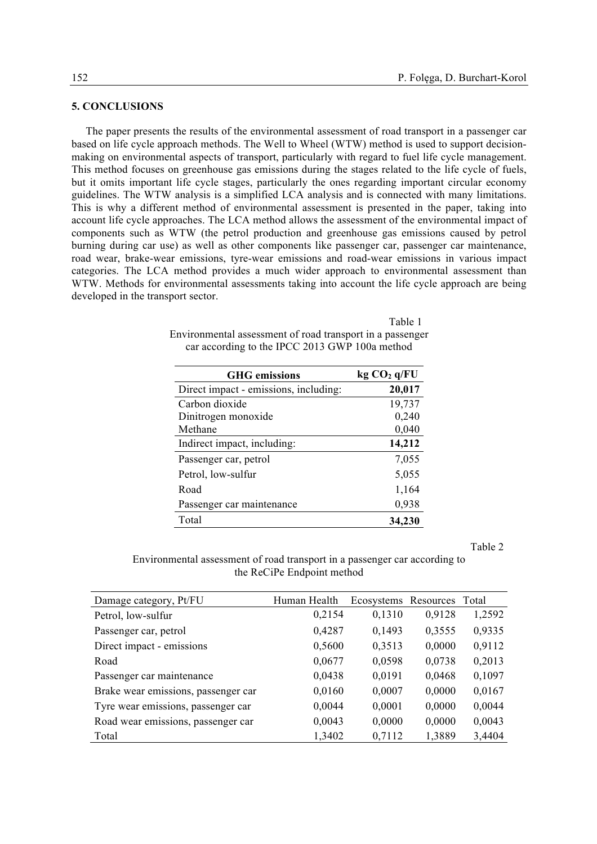# **5. CONCLUSIONS**

The paper presents the results of the environmental assessment of road transport in a passenger car based on life cycle approach methods. The Well to Wheel (WTW) method is used to support decisionmaking on environmental aspects of transport, particularly with regard to fuel life cycle management. This method focuses on greenhouse gas emissions during the stages related to the life cycle of fuels, but it omits important life cycle stages, particularly the ones regarding important circular economy guidelines. The WTW analysis is a simplified LCA analysis and is connected with many limitations. This is why a different method of environmental assessment is presented in the paper, taking into account life cycle approaches. The LCA method allows the assessment of the environmental impact of components such as WTW (the petrol production and greenhouse gas emissions caused by petrol burning during car use) as well as other components like passenger car, passenger car maintenance, road wear, brake-wear emissions, tyre-wear emissions and road-wear emissions in various impact categories. The LCA method provides a much wider approach to environmental assessment than WTW. Methods for environmental assessments taking into account the life cycle approach are being developed in the transport sector.

> Table 1 Environmental assessment of road transport in a passenger car according to the IPCC 2013 GWP 100a method

| <b>GHG</b> emissions                  | kg CO <sub>2</sub> q/FU |
|---------------------------------------|-------------------------|
| Direct impact - emissions, including: | 20,017                  |
| Carbon dioxide                        | 19,737                  |
| Dinitrogen monoxide                   | 0,240                   |
| Methane                               | 0,040                   |
| Indirect impact, including:           | 14,212                  |
| Passenger car, petrol                 | 7,055                   |
| Petrol, low-sulfur                    | 5,055                   |
| Road                                  | 1,164                   |
| Passenger car maintenance             | 0,938                   |
| Total                                 | 34,230                  |

Table 2

Environmental assessment of road transport in a passenger car according to the ReCiPe Endpoint method

| Damage category, Pt/FU              | Human Health | Ecosystems Resources |        | Total  |
|-------------------------------------|--------------|----------------------|--------|--------|
| Petrol, low-sulfur                  | 0,2154       | 0,1310               | 0,9128 | 1,2592 |
| Passenger car, petrol               | 0,4287       | 0,1493               | 0,3555 | 0,9335 |
| Direct impact - emissions           | 0,5600       | 0,3513               | 0,0000 | 0,9112 |
| Road                                | 0,0677       | 0,0598               | 0,0738 | 0,2013 |
| Passenger car maintenance           | 0,0438       | 0,0191               | 0,0468 | 0,1097 |
| Brake wear emissions, passenger car | 0,0160       | 0,0007               | 0,0000 | 0,0167 |
| Tyre wear emissions, passenger car  | 0,0044       | 0,0001               | 0,0000 | 0,0044 |
| Road wear emissions, passenger car  | 0,0043       | 0,0000               | 0,0000 | 0,0043 |
| Total                               | 1,3402       | 0,7112               | 1,3889 | 3,4404 |